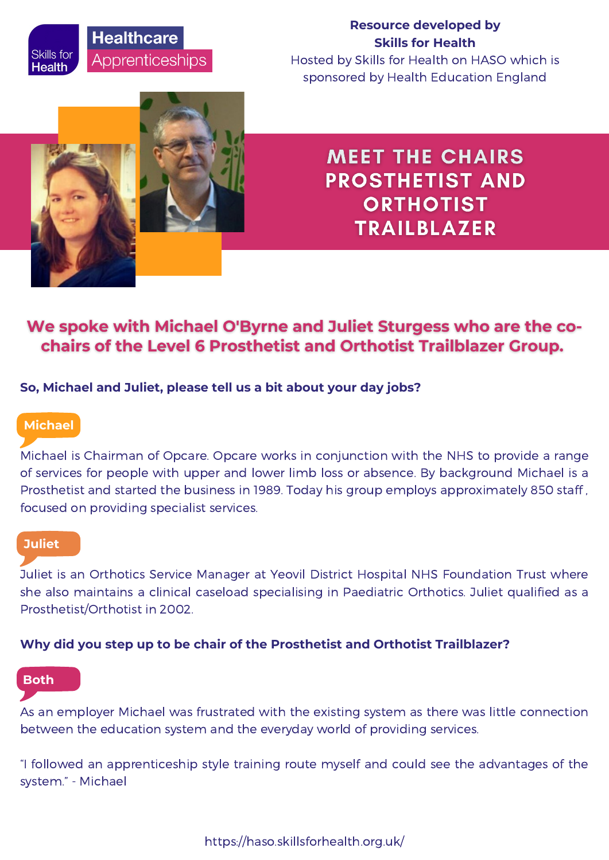# **Healthcare** Apprenticeships

## **Resource developed by Skills for Health**

Hosted by Skills for Health on HASO which is sponsored by Health Education England



**MEET THE CHAIRS PROSTHETIST AND ORTHOTIST TRAILBLAZER** 

## We spoke with Michael O'Byrne and Juliet Sturgess who are the cochairs of the Level 6 Prosthetist and Orthotist Trailblazer Group.

## **So, Michael and Juliet, please tell us a bit about your day jobs?**

## **Michael**

Skills for

Health

Michael is Chairman of Opcare. Opcare works in conjunction with the NHS to provide a range of services for people with upper and lower limb loss or absence. By background Michael is a Prosthetist and started the business in 1989. Today his group employs approximately 850 staff , focused on providing specialist services.

### **Juliet**

Juliet is an Orthotics Service Manager at Yeovil District Hospital NHS Foundation Trust where she also maintains a clinical caseload specialising in Paediatric Orthotics. Juliet qualified as a Prosthetist/Orthotist in 2002.

### **Why did you step up to be chair of the Prosthetist and Orthotist Trailblazer?**

## **Both**

As an employer Michael was frustrated with the existing system as there was little connection between the education system and the everyday world of providing services.

"I followed an apprenticeship style training route myself and could see the advantages of the system." - Michael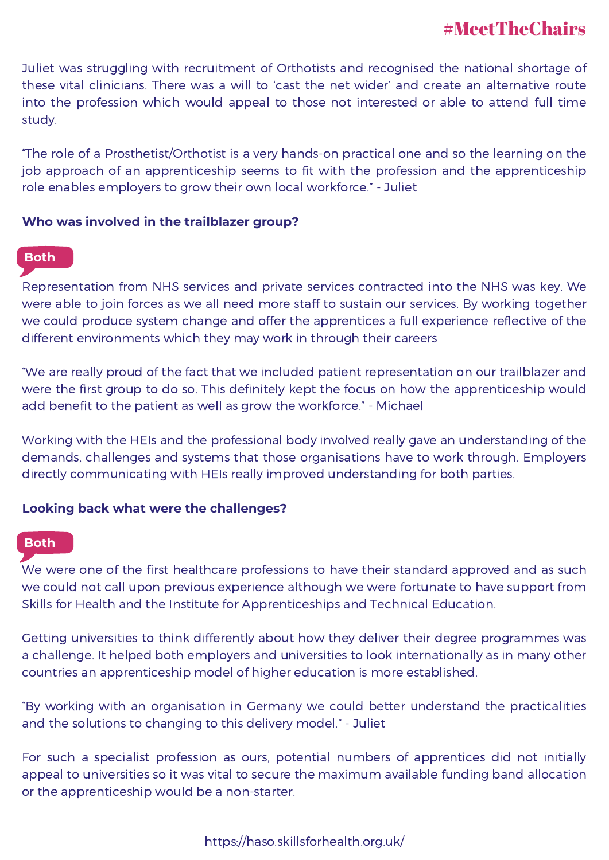Juliet was struggling with recruitment of Orthotists and recognised the national shortage of these vital clinicians. There was a will to 'cast the net wider' and create an alternative route into the profession which would appeal to those not interested or able to attend full time study.

"The role of a Prosthetist/Orthotist is a very hands-on practical one and so the learning on the job approach of an apprenticeship seems to fit with the profession and the apprenticeship role enables employers to grow their own local workforce." - Juliet

### **Who was involved in the trailblazer group?**

## **Both**

Representation from NHS services and private services contracted into the NHS was key. We were able to join forces as we all need more staff to sustain our services. By working together we could produce system change and offer the apprentices a full experience reflective of the different environments which they may work in through their careers

"We are really proud of the fact that we included patient representation on our trailblazer and were the first group to do so. This definitely kept the focus on how the apprenticeship would add benefit to the patient as well as grow the workforce." - Michael

Working with the HEIs and the professional body involved really gave an understanding of the demands, challenges and systems that those organisations have to work through. Employers directly communicating with HEIs really improved understanding for both parties.

### **Looking back what were the challenges?**

### **Both**

We were one of the first healthcare professions to have their standard approved and as such we could not call upon previous experience although we were fortunate to have support from Skills for Health and the Institute for Apprenticeships and Technical Education.

Getting universities to think differently about how they deliver their degree programmes was a challenge. It helped both employers and universities to look internationally as in many other countries an apprenticeship model of higher education is more established.

"By working with an organisation in Germany we could better understand the practicalities and the solutions to changing to this delivery model." - Juliet

For such a specialist profession as ours, potential numbers of apprentices did not initially appeal to universities so it was vital to secure the maximum available funding band allocation or the apprenticeship would be a non-starter.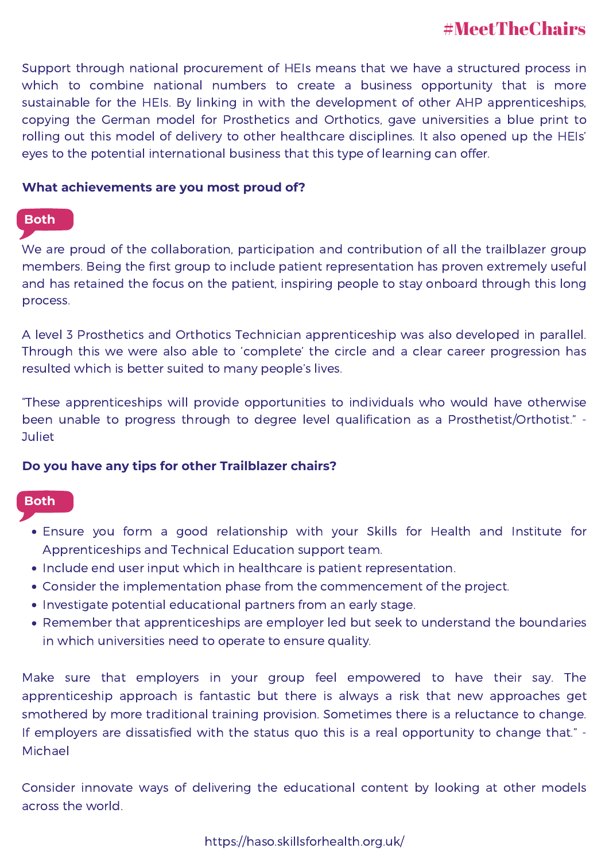Support through national procurement of HEIs means that we have a structured process in which to combine national numbers to create a business opportunity that is more sustainable for the HEIs. By linking in with the development of other AHP apprenticeships, copying the German model for Prosthetics and Orthotics, gave universities a blue print to rolling out this model of delivery to other healthcare disciplines. It also opened up the HEIs' eyes to the potential international business that this type of learning can offer.

### **What achievements are you most proud of?**

### **Both**

We are proud of the collaboration, participation and contribution of all the trailblazer group members. Being the first group to include patient representation has proven extremely useful and has retained the focus on the patient, inspiring people to stay onboard through this long process.

A level 3 Prosthetics and Orthotics Technician apprenticeship was also developed in parallel. Through this we were also able to 'complete' the circle and a clear career progression has resulted which is better suited to many people's lives.

"These apprenticeships will provide opportunities to individuals who would have otherwise been unable to progress through to degree level qualification as a Prosthetist/Orthotist." - **Juliet** 

### **Do you have any tips for other Trailblazer chairs?**

### **Both**

- Ensure you form a good relationship with your Skills for Health and Institute for Apprenticeships and Technical Education support team.
- Include end user input which in healthcare is patient representation.
- Consider the implementation phase from the commencement of the project.
- Investigate potential educational partners from an early stage.
- Remember that apprenticeships are employer led but seek to understand the boundaries in which universities need to operate to ensure quality.

Make sure that employers in your group feel empowered to have their say. The apprenticeship approach is fantastic but there is always a risk that new approaches get smothered by more traditional training provision. Sometimes there is a reluctance to change. If employers are dissatisfied with the status quo this is a real opportunity to change that." - Michael

Consider innovate ways of delivering the educational content by looking at other models across the world.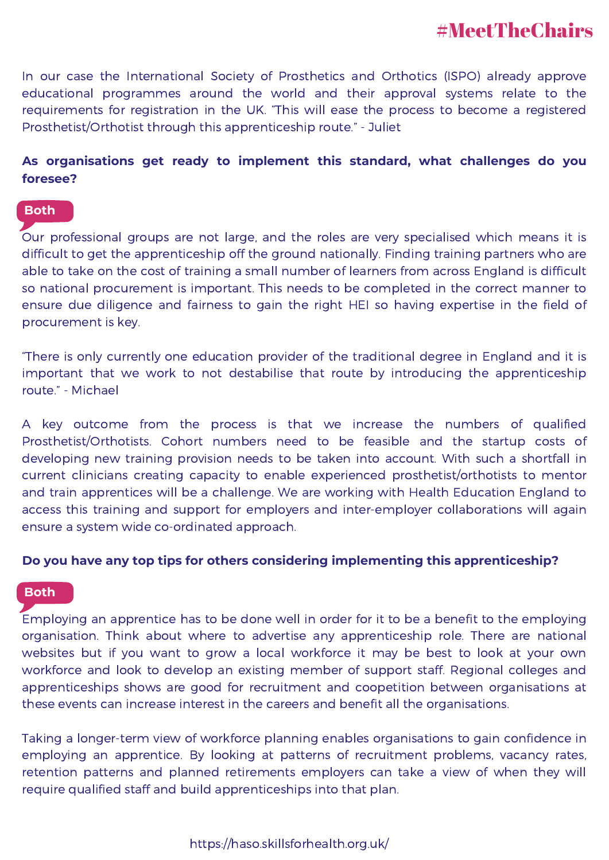In our case the International Society of Prosthetics and Orthotics (ISPO) already approve educational programmes around the world and their approval systems relate to the requirements for registration in the UK. "This will ease the process to become a registered Prosthetist/Orthotist through this apprenticeship route." - Juliet

## **As organisations get ready to implement this standard, what challenges do you foresee?**

## **Both**

Our professional groups are not large, and the roles are very specialised which means it is difficult to get the apprenticeship off the ground nationally. Finding training partners who are able to take on the cost of training a small number of learners from across England is difficult so national procurement is important. This needs to be completed in the correct manner to ensure due diligence and fairness to gain the right HEI so having expertise in the field of procurement is key.

"There is only currently one education provider of the traditional degree in England and it is important that we work to not destabilise that route by introducing the apprenticeship route." - Michael

A key outcome from the process is that we increase the numbers of qualified Prosthetist/Orthotists. Cohort numbers need to be feasible and the startup costs of developing new training provision needs to be taken into account. With such a shortfall in current clinicians creating capacity to enable experienced prosthetist/orthotists to mentor and train apprentices will be a challenge. We are working with Health Education England to access this training and support for employers and inter-employer collaborations will again ensure a system wide co-ordinated approach.

### **Do you have any top tips for others considering implementing this apprenticeship?**

### **Both**

Employing an apprentice has to be done well in order for it to be a benefit to the employing organisation. Think about where to advertise any apprenticeship role. There are national websites but if you want to grow a local workforce it may be best to look at your own workforce and look to develop an existing member of support staff. Regional colleges and apprenticeships shows are good for recruitment and coopetition between organisations at these events can increase interest in the careers and benefit all the organisations.

Taking a longer-term view of workforce planning enables organisations to gain confidence in employing an apprentice. By looking at patterns of recruitment problems, vacancy rates, retention patterns and planned retirements employers can take a view of when they will require qualified staff and build apprenticeships into that plan.